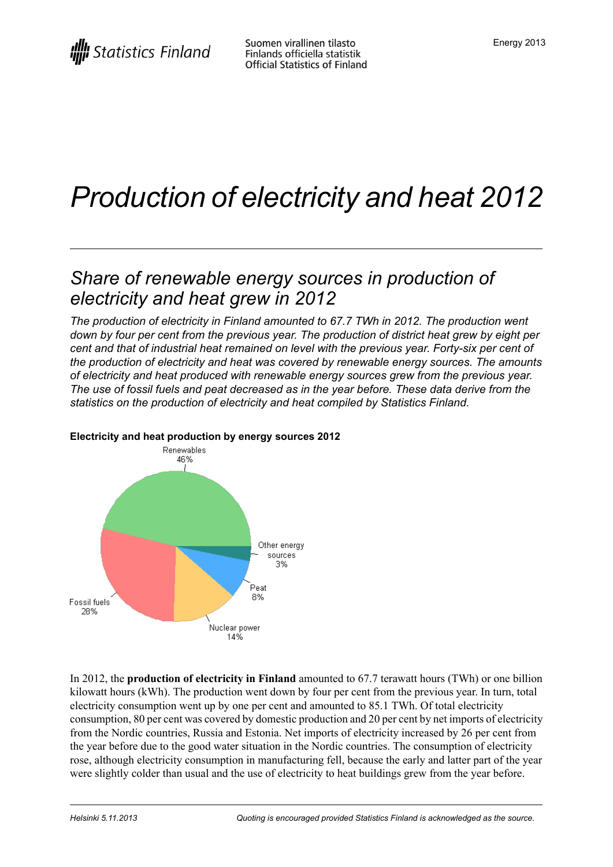# *Production of electricity and heat 2012*

## *Share of renewable energy sources in production of electricity and heat grew in 2012*

*The production of electricity in Finland amounted to 67.7 TWh in 2012. The production went down by four per cent from the previous year. The production of district heat grew by eight per cent and that of industrial heat remained on level with the previous year. Forty-six per cent of the production of electricity and heat was covered by renewable energy sources. The amounts of electricity and heat produced with renewable energy sources grew from the previous year. The use of fossil fuels and peat decreased as in the year before. These data derive from the statistics on the production of electricity and heat compiled by Statistics Finland.*



#### **Electricity and heat production by energy sources 2012**

In 2012, the **production of electricity in Finland** amounted to 67.7 terawatt hours (TWh) or one billion kilowatt hours (kWh). The production went down by four per cent from the previous year. In turn, total electricity consumption went up by one per cent and amounted to 85.1 TWh. Of total electricity consumption, 80 per cent was covered by domestic production and 20 per cent by net imports of electricity from the Nordic countries, Russia and Estonia. Net imports of electricity increased by 26 per cent from the year before due to the good water situation in the Nordic countries. The consumption of electricity rose, although electricity consumption in manufacturing fell, because the early and latter part of the year were slightly colder than usual and the use of electricity to heat buildings grew from the year before.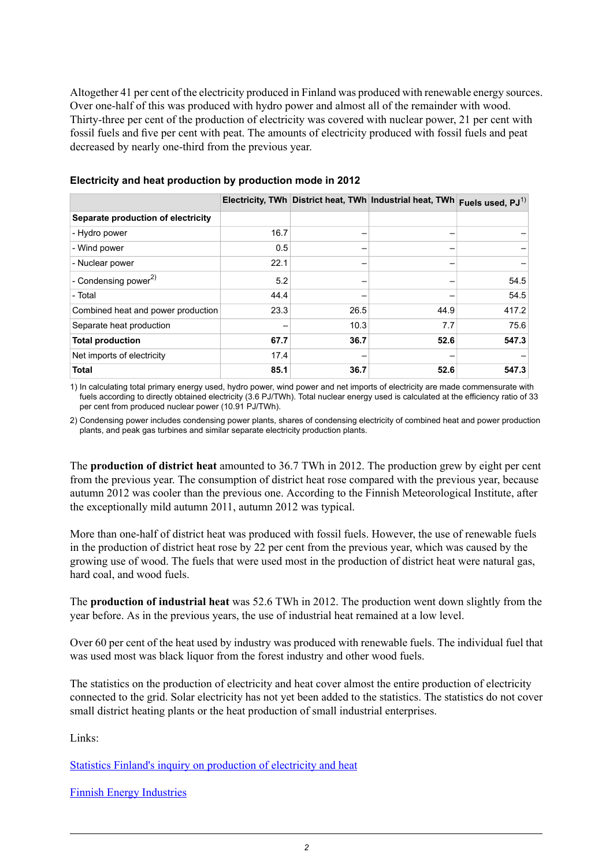Altogether 41 per cent of the electricity produced in Finland was produced with renewable energy sources. Over one-half of this was produced with hydro power and almost all of the remainder with wood. Thirty-three per cent of the production of electricity was covered with nuclear power, 21 per cent with fossil fuels and five per cent with peat. The amounts of electricity produced with fossil fuels and peat decreased by nearly one-third from the previous year.

|                                    |      |      | Electricity, TWh District heat, TWh Industrial heat, TWh | Fuels used, $PJ^{(1)}$ |
|------------------------------------|------|------|----------------------------------------------------------|------------------------|
| Separate production of electricity |      |      |                                                          |                        |
| - Hydro power                      | 16.7 |      |                                                          |                        |
| - Wind power                       | 0.5  |      |                                                          |                        |
| - Nuclear power                    | 22.1 |      |                                                          |                        |
| - Condensing power <sup>2)</sup>   | 5.2  |      |                                                          | 54.5                   |
| - Total                            | 44.4 |      |                                                          | 54.5                   |
| Combined heat and power production | 23.3 | 26.5 | 44.9                                                     | 417.2                  |
| Separate heat production           |      | 10.3 | 7.7                                                      | 75.6                   |
| <b>Total production</b>            | 67.7 | 36.7 | 52.6                                                     | 547.3                  |
| Net imports of electricity         | 17.4 |      |                                                          |                        |
| <b>Total</b>                       | 85.1 | 36.7 | 52.6                                                     | 547.3                  |

#### **Electricity and heat production by production mode in 2012**

1) In calculating total primary energy used, hydro power, wind power and net imports of electricity are made commensurate with fuels according to directly obtained electricity (3.6 PJ/TWh). Total nuclear energy used is calculated at the efficiency ratio of 33 per cent from produced nuclear power (10.91 PJ/TWh).

2) Condensing power includes condensing power plants, shares of condensing electricity of combined heat and power production plants, and peak gas turbines and similar separate electricity production plants.

The **production of district heat** amounted to 36.7 TWh in 2012. The production grew by eight per cent from the previous year. The consumption of district heat rose compared with the previous year, because autumn 2012 was cooler than the previous one. According to the Finnish Meteorological Institute, after the exceptionally mild autumn 2011, autumn 2012 was typical.

More than one-half of district heat was produced with fossil fuels. However, the use of renewable fuels in the production of district heat rose by 22 per cent from the previous year, which was caused by the growing use of wood. The fuels that were used most in the production of district heat were natural gas, hard coal, and wood fuels.

The **production of industrial heat** was 52.6 TWh in 2012. The production went down slightly from the year before. As in the previous years, the use of industrial heat remained at a low level.

Over 60 per cent of the heat used by industry was produced with renewable fuels. The individual fuel that was used most was black liquor from the forest industry and other wood fuels.

The statistics on the production of electricity and heat cover almost the entire production of electricity connected to the grid. Solar electricity has not yet been added to the statistics. The statistics do not cover small district heating plants or the heat production of small industrial enterprises.

Links:

Statistics Finland's inquiry on [production](http://tilastokeskus.fi/keruu/ene/index_en.html) of electricity and heat

Finnish Energy [Industries](http://www.energia.fi/en/statistics-and-publications/electricity-statistics)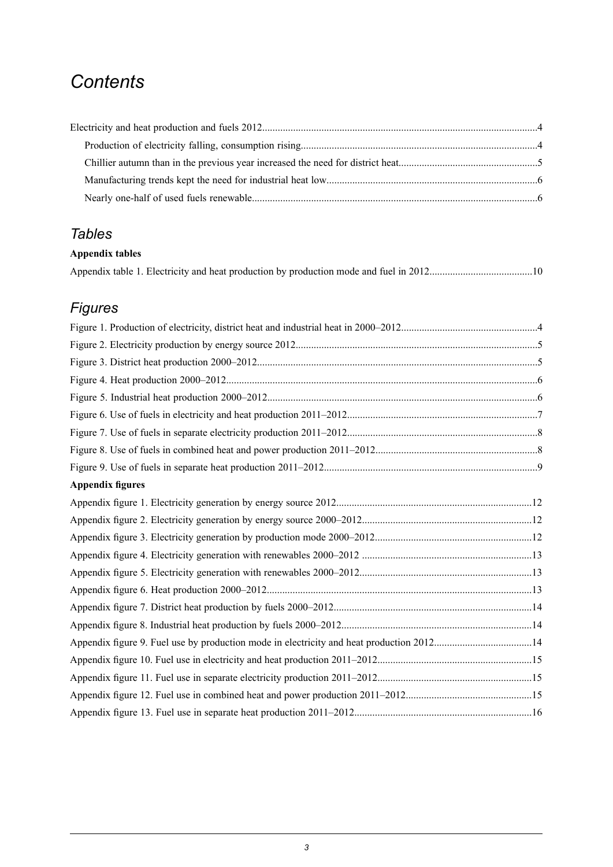## *Contents*

### *Tables*

#### **Appendix tables**

## *Figures*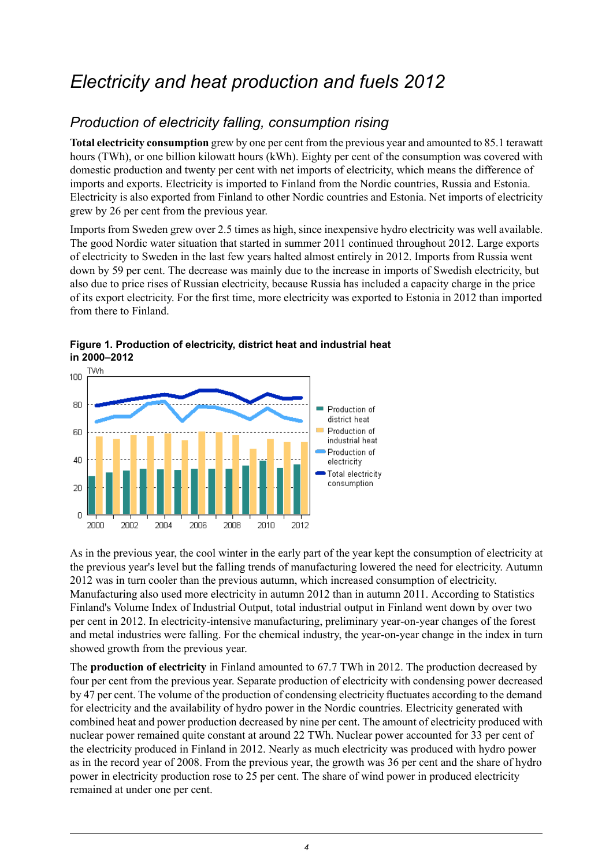## <span id="page-3-0"></span>*Electricity and heat production and fuels 2012*

### <span id="page-3-1"></span>*Production of electricity falling, consumption rising*

**Total electricity consumption** grew by one per cent from the previous year and amounted to 85.1 terawatt hours (TWh), or one billion kilowatt hours (kWh). Eighty per cent of the consumption was covered with domestic production and twenty per cent with net imports of electricity, which means the difference of imports and exports. Electricity is imported to Finland from the Nordic countries, Russia and Estonia. Electricity is also exported from Finland to other Nordic countries and Estonia. Net imports of electricity grew by 26 per cent from the previous year.

Imports from Sweden grew over 2.5 times as high, since inexpensive hydro electricity was well available. The good Nordic water situation that started in summer 2011 continued throughout 2012. Large exports of electricity to Sweden in the last few years halted almost entirely in 2012. Imports from Russia went down by 59 per cent. The decrease was mainly due to the increase in imports of Swedish electricity, but also due to price rises of Russian electricity, because Russia has included a capacity charge in the price of its export electricity. For the first time, more electricity was exported to Estonia in 2012 than imported from there to Finland.



<span id="page-3-2"></span>**Figure 1. Production of electricity, district heat and industrial heat in 2000–2012**

As in the previous year, the cool winter in the early part of the year kept the consumption of electricity at the previous year's level but the falling trends of manufacturing lowered the need for electricity. Autumn 2012 was in turn cooler than the previous autumn, which increased consumption of electricity. Manufacturing also used more electricity in autumn 2012 than in autumn 2011. According to Statistics Finland's Volume Index of Industrial Output, total industrial output in Finland went down by over two per cent in 2012. In electricity-intensive manufacturing, preliminary year-on-year changes of the forest and metal industries were falling. For the chemical industry, the year-on-year change in the index in turn showed growth from the previous year.

The **production of electricity** in Finland amounted to 67.7 TWh in 2012. The production decreased by four per cent from the previous year. Separate production of electricity with condensing power decreased by 47 per cent. The volume of the production of condensing electricity fluctuates according to the demand for electricity and the availability of hydro power in the Nordic countries. Electricity generated with combined heat and power production decreased by nine per cent. The amount of electricity produced with nuclear power remained quite constant at around 22 TWh. Nuclear power accounted for 33 per cent of the electricity produced in Finland in 2012. Nearly as much electricity was produced with hydro power as in the record year of 2008. From the previous year, the growth was 36 per cent and the share of hydro power in electricity production rose to 25 per cent. The share of wind power in produced electricity remained at under one per cent.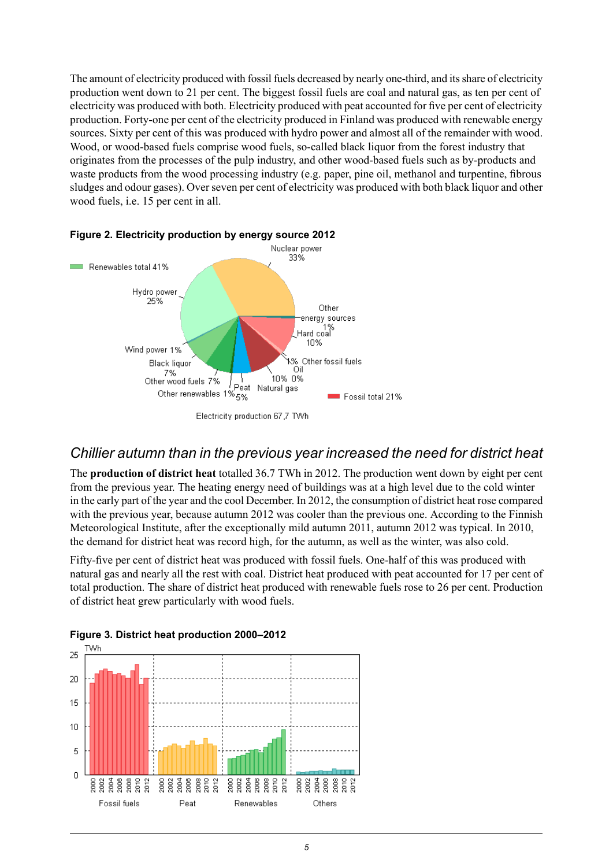The amount of electricity produced with fossil fuels decreased by nearly one-third, and itsshare of electricity production went down to 21 per cent. The biggest fossil fuels are coal and natural gas, as ten per cent of electricity was produced with both. Electricity produced with peat accounted for five per cent of electricity production. Forty-one per cent of the electricity produced in Finland was produced with renewable energy sources. Sixty per cent of this was produced with hydro power and almost all of the remainder with wood. Wood, or wood-based fuels comprise wood fuels, so-called black liquor from the forest industry that originates from the processes of the pulp industry, and other wood-based fuels such as by-products and waste products from the wood processing industry (e.g. paper, pine oil, methanol and turpentine, fibrous sludges and odour gases). Over seven per cent of electricity was produced with both black liquor and other wood fuels, i.e. 15 per cent in all.



#### <span id="page-4-1"></span>**Figure 2. Electricity production by energy source 2012**

#### <span id="page-4-0"></span>*Chillier autumn than in the previous year increased the need for district heat*

The **production of district heat** totalled 36.7 TWh in 2012. The production went down by eight per cent from the previous year. The heating energy need of buildings was at a high level due to the cold winter in the early part of the year and the cool December. In 2012, the consumption of district heat rose compared with the previous year, because autumn 2012 was cooler than the previous one. According to the Finnish Meteorological Institute, after the exceptionally mild autumn 2011, autumn 2012 was typical. In 2010, the demand for district heat was record high, for the autumn, as well as the winter, was also cold.

<span id="page-4-2"></span>Fifty-five per cent of district heat was produced with fossil fuels. One-half of this was produced with natural gas and nearly all the rest with coal. District heat produced with peat accounted for 17 per cent of total production. The share of district heat produced with renewable fuels rose to 26 per cent. Production of district heat grew particularly with wood fuels.



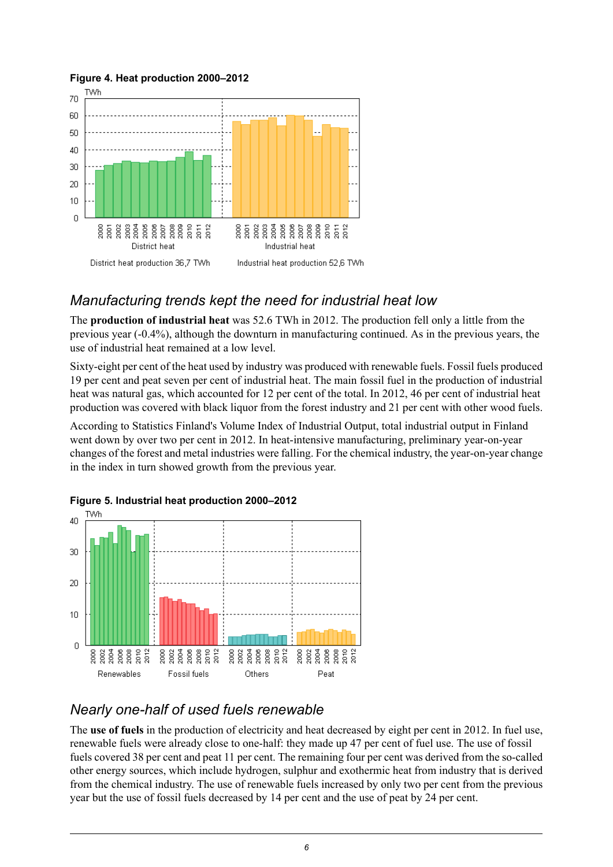

#### <span id="page-5-2"></span>**Figure 4. Heat production 2000–2012**

### <span id="page-5-0"></span>*Manufacturing trends kept the need for industrial heat low*

The **production of industrial heat** was 52.6 TWh in 2012. The production fell only a little from the previous year (-0.4%), although the downturn in manufacturing continued. As in the previous years, the use of industrial heat remained at a low level.

Sixty-eight per cent of the heat used by industry was produced with renewable fuels. Fossil fuels produced 19 per cent and peat seven per cent of industrial heat. The main fossil fuel in the production of industrial heat was natural gas, which accounted for 12 per cent of the total. In 2012, 46 per cent of industrial heat production was covered with black liquor from the forest industry and 21 per cent with other wood fuels.

<span id="page-5-3"></span>According to Statistics Finland's Volume Index of Industrial Output, total industrial output in Finland went down by over two per cent in 2012. In heat-intensive manufacturing, preliminary year-on-year changes of the forest and metal industries were falling. For the chemical industry, the year-on-year change in the index in turn showed growth from the previous year.





### <span id="page-5-1"></span>*Nearly one-half of used fuels renewable*

The **use of fuels** in the production of electricity and heat decreased by eight per cent in 2012. In fuel use, renewable fuels were already close to one-half: they made up 47 per cent of fuel use. The use of fossil fuels covered 38 per cent and peat 11 per cent. The remaining four per cent was derived from the so-called other energy sources, which include hydrogen, sulphur and exothermic heat from industry that is derived from the chemical industry. The use of renewable fuels increased by only two per cent from the previous year but the use of fossil fuels decreased by 14 per cent and the use of peat by 24 per cent.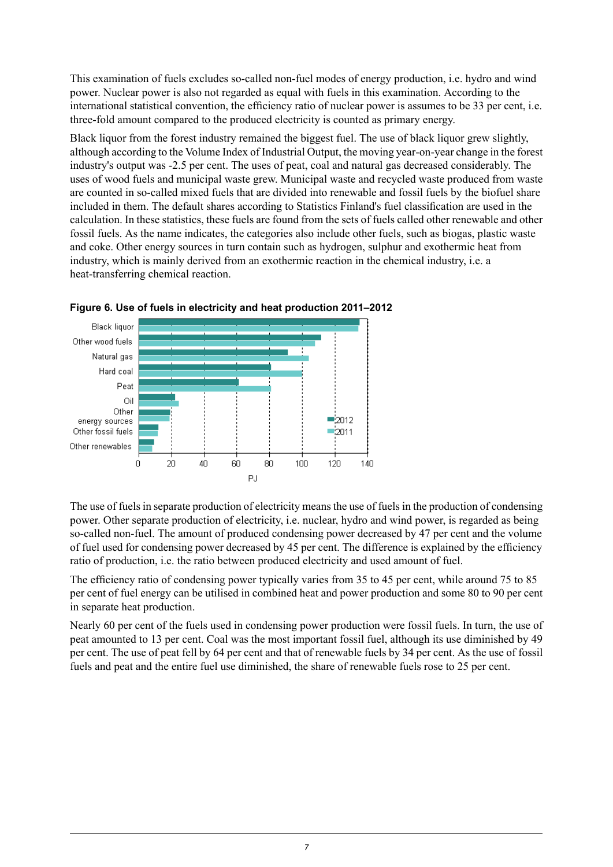This examination of fuels excludes so-called non-fuel modes of energy production, i.e. hydro and wind power. Nuclear power is also not regarded as equal with fuels in this examination. According to the international statistical convention, the efficiency ratio of nuclear power is assumes to be 33 per cent, i.e. three-fold amount compared to the produced electricity is counted as primary energy.

Black liquor from the forest industry remained the biggest fuel. The use of black liquor grew slightly, although according to the Volume Index of Industrial Output, the moving year-on-year change in the forest industry's output was -2.5 per cent. The uses of peat, coal and natural gas decreased considerably. The uses of wood fuels and municipal waste grew. Municipal waste and recycled waste produced from waste are counted in so-called mixed fuels that are divided into renewable and fossil fuels by the biofuel share included in them. The default shares according to Statistics Finland's fuel classification are used in the calculation. In these statistics, these fuels are found from the sets of fuels called other renewable and other fossil fuels. As the name indicates, the categories also include other fuels, such as biogas, plastic waste and coke. Other energy sources in turn contain such as hydrogen, sulphur and exothermic heat from industry, which is mainly derived from an exothermic reaction in the chemical industry, i.e. a heat-transferring chemical reaction.



<span id="page-6-0"></span>

The use of fuels in separate production of electricity means the use of fuels in the production of condensing power. Other separate production of electricity, i.e. nuclear, hydro and wind power, is regarded as being so-called non-fuel. The amount of produced condensing power decreased by 47 per cent and the volume of fuel used for condensing power decreased by 45 per cent. The difference is explained by the efficiency ratio of production, i.e. the ratio between produced electricity and used amount of fuel.

The efficiency ratio of condensing power typically varies from 35 to 45 per cent, while around 75 to 85 per cent of fuel energy can be utilised in combined heat and power production and some 80 to 90 per cent in separate heat production.

Nearly 60 per cent of the fuels used in condensing power production were fossil fuels. In turn, the use of peat amounted to 13 per cent. Coal was the most important fossil fuel, although its use diminished by 49 per cent. The use of peat fell by 64 per cent and that of renewable fuels by 34 per cent. As the use of fossil fuels and peat and the entire fuel use diminished, the share of renewable fuels rose to 25 per cent.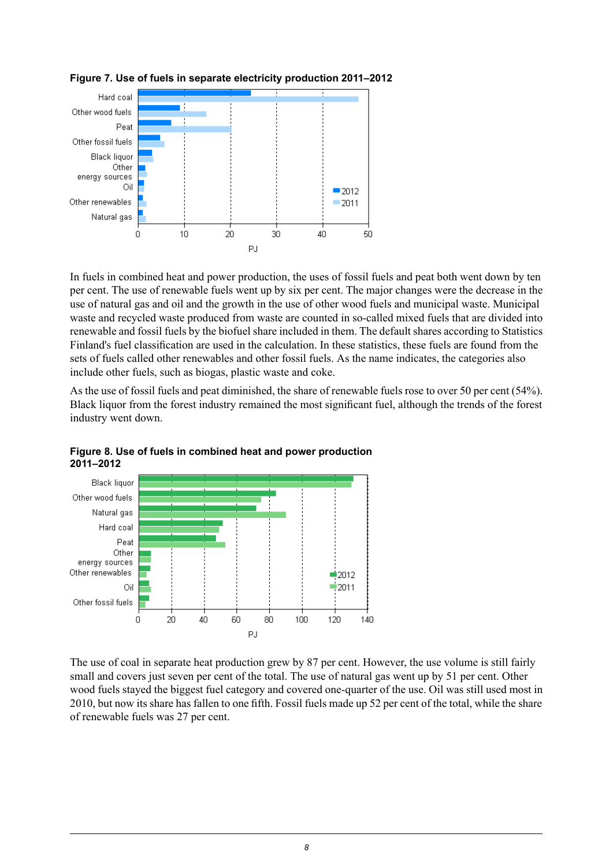

<span id="page-7-0"></span>

In fuels in combined heat and power production, the uses of fossil fuels and peat both went down by ten per cent. The use of renewable fuels went up by six per cent. The major changes were the decrease in the use of natural gas and oil and the growth in the use of other wood fuels and municipal waste. Municipal waste and recycled waste produced from waste are counted in so-called mixed fuels that are divided into renewable and fossil fuels by the biofuel share included in them. The default shares according to Statistics Finland's fuel classification are used in the calculation. In these statistics, these fuels are found from the sets of fuels called other renewables and other fossil fuels. As the name indicates, the categories also include other fuels, such as biogas, plastic waste and coke.

<span id="page-7-1"></span>As the use of fossil fuels and peat diminished, the share of renewable fuels rose to over 50 per cent (54%). Black liquor from the forest industry remained the most significant fuel, although the trends of the forest industry went down.



**Figure 8. Use of fuels in combined heat and power production 2011–2012**

The use of coal in separate heat production grew by 87 per cent. However, the use volume is still fairly small and covers just seven per cent of the total. The use of natural gas went up by 51 per cent. Other wood fuels stayed the biggest fuel category and covered one-quarter of the use. Oil was still used most in 2010, but now its share has fallen to one fifth. Fossil fuels made up 52 per cent of the total, while the share of renewable fuels was 27 per cent.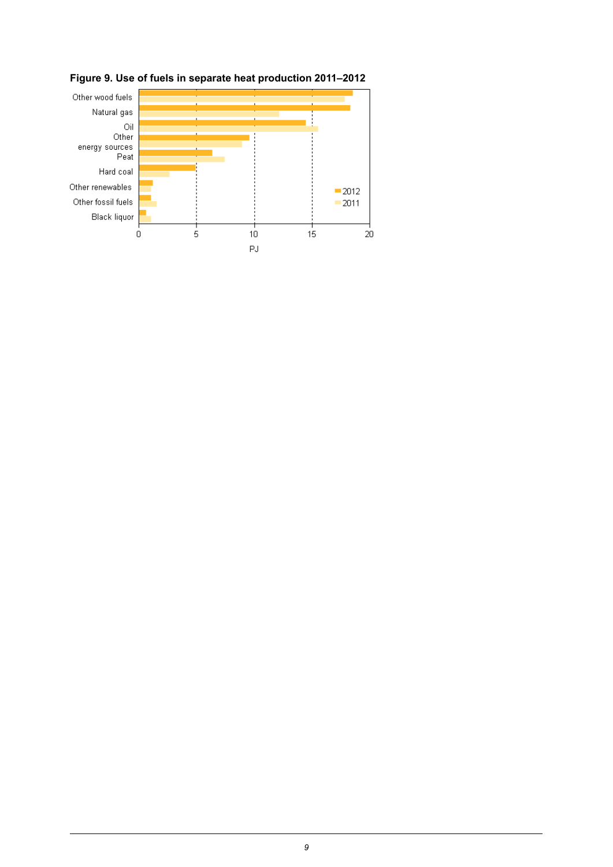

<span id="page-8-0"></span>**Figure 9. Use of fuels in separate heat production 2011–2012**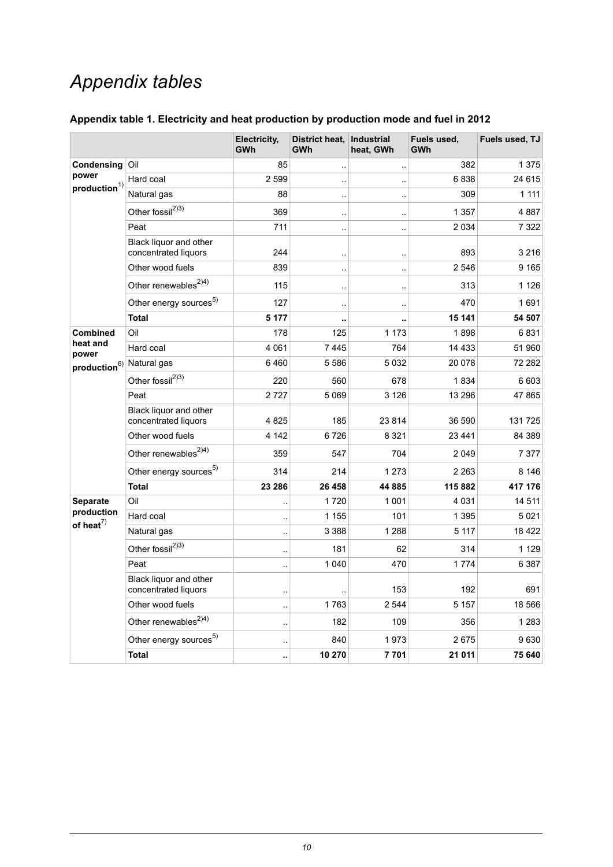## *Appendix tables*

<span id="page-9-0"></span>

| Appendix table 1. Electricity and heat production by production mode and fuel in 2012 |  |  |  |  |
|---------------------------------------------------------------------------------------|--|--|--|--|
|---------------------------------------------------------------------------------------|--|--|--|--|

|                                                |                                                | Electricity,<br>GWh  | District heat,<br>GWh | Industrial<br>heat, GWh | Fuels used,<br><b>GWh</b> | Fuels used, TJ |
|------------------------------------------------|------------------------------------------------|----------------------|-----------------------|-------------------------|---------------------------|----------------|
| Condensing<br>power<br>production <sup>1</sup> | Oil                                            | 85                   | $\ddotsc$             | $\ddotsc$               | 382                       | 1375           |
|                                                | Hard coal                                      | 2 5 9 9              |                       | $\ddot{\phantom{a}}$    | 6838                      | 24 6 15        |
|                                                | Natural gas                                    | 88                   | $\ddot{\phantom{a}}$  | $\ddotsc$               | 309                       | 1 1 1 1        |
|                                                | Other fossil <sup>2)3)</sup>                   | 369                  |                       | $\ddotsc$               | 1 3 5 7                   | 4887           |
|                                                | Peat                                           | 711                  | $\ddot{\phantom{a}}$  | $\ddotsc$               | 2034                      | 7 3 2 2        |
|                                                | Black liquor and other<br>concentrated liquors | 244                  |                       | $\ddot{\phantom{a}}$    | 893                       | 3 2 1 6        |
|                                                | Other wood fuels                               | 839                  | $\ddot{\phantom{a}}$  | μ.                      | 2546                      | 9 1 6 5        |
|                                                | Other renewables <sup>2)4)</sup>               | 115                  | $\ddot{\phantom{a}}$  | $\ddot{\phantom{a}}$    | 313                       | 1 1 2 6        |
|                                                | Other energy sources <sup>5)</sup>             | 127                  | $\ddot{\phantom{a}}$  | $\ddot{\phantom{a}}$    | 470                       | 1691           |
|                                                | <b>Total</b>                                   | 5 1 7 7              | ٠.                    |                         | 15 141                    | 54 507         |
| <b>Combined</b>                                | Oil                                            | 178                  | 125                   | 1 1 7 3                 | 1898                      | 6831           |
| heat and<br>power                              | Hard coal                                      | 4 0 6 1              | 7445                  | 764                     | 14 4 33                   | 51 960         |
| production <sup>6)</sup> Natural gas           |                                                | 6460                 | 5586                  | 5 0 3 2                 | 20 078                    | 72 282         |
|                                                | Other fossil <sup>2)3)</sup>                   | 220                  | 560                   | 678                     | 1834                      | 6603           |
|                                                | Peat                                           | 2727                 | 5 0 6 9               | 3 1 2 6                 | 13 296                    | 47865          |
|                                                | Black liquor and other<br>concentrated liquors | 4825                 | 185                   | 23 8 14                 | 36 590                    | 131725         |
|                                                | Other wood fuels                               | 4 1 4 2              | 6726                  | 8 3 2 1                 | 23 4 4 1                  | 84 389         |
|                                                | Other renewables <sup>2)4)</sup>               | 359                  | 547                   | 704                     | 2049                      | 7377           |
|                                                | Other energy sources <sup>5)</sup>             | 314                  | 214                   | 1 2 7 3                 | 2 2 6 3                   | 8 1 4 6        |
|                                                | <b>Total</b>                                   | 23 286               | 26 458                | 44 885                  | 115 882                   | 417 176        |
| <b>Separate</b>                                | Oil                                            | $\ddot{\phantom{a}}$ | 1720                  | 1 0 0 1                 | 4 0 3 1                   | 14 5 11        |
| production<br>of heat $^{7)}$                  | Hard coal                                      | $\ddot{\phantom{a}}$ | 1 1 5 5               | 101                     | 1 3 9 5                   | 5021           |
|                                                | Natural gas                                    | $\ddotsc$            | 3 3 8 8               | 1 2 8 8                 | 5 1 1 7                   | 18 4 22        |
|                                                | Other fossil <sup>2)3)</sup>                   | $\ddot{\phantom{a}}$ | 181                   | 62                      | 314                       | 1 1 2 9        |
|                                                | Peat                                           | $\ddot{\phantom{a}}$ | 1 0 4 0               | 470                     | 1774                      | 6 3 8 7        |
|                                                | Black liquor and other<br>concentrated liquors |                      |                       | 153                     | 192                       | 691            |
|                                                | Other wood fuels                               | $\ddot{\phantom{a}}$ | 1763                  | 2 5 4 4                 | 5 1 5 7                   | 18 566         |
|                                                | Other renewables <sup>2)4)</sup>               | $\ddotsc$            | 182                   | 109                     | 356                       | 1 2 8 3        |
|                                                | Other energy sources <sup>5)</sup>             |                      | 840                   | 1973                    | 2675                      | 9630           |
|                                                | <b>Total</b>                                   | ٠.                   | 10 270                | 7701                    | 21 011                    | 75 640         |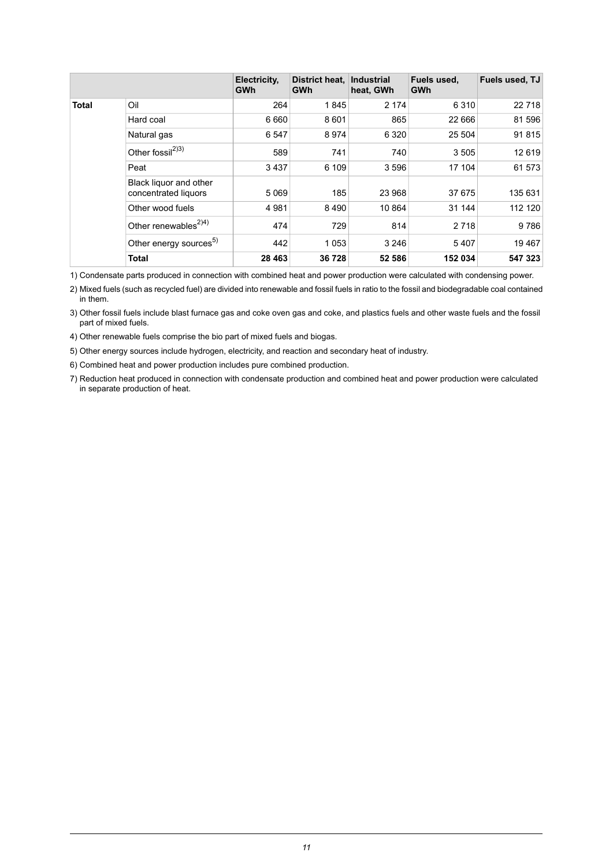|              |                                                | Electricity.<br><b>GWh</b> | District heat.<br>GWh | <b>Industrial</b><br>heat, GWh | Fuels used,<br><b>GWh</b> | Fuels used, TJ |
|--------------|------------------------------------------------|----------------------------|-----------------------|--------------------------------|---------------------------|----------------|
| <b>Total</b> | Oil                                            | 264                        | 1845                  | 2 1 7 4                        | 6310                      | 22 7 18        |
|              | Hard coal                                      | 6660                       | 8601                  | 865                            | 22 6 6 6                  | 81 596         |
|              | Natural gas                                    | 6547                       | 8974                  | 6 3 2 0                        | 25 504                    | 91815          |
|              | Other fossil <sup>2)3)</sup>                   | 589                        | 741                   | 740                            | 3505                      | 12619          |
|              | Peat                                           | 3437                       | 6 109                 | 3596                           | 17 104                    | 61 573         |
|              | Black liquor and other<br>concentrated liquors | 5 0 6 9                    | 185                   | 23 968                         | 37 675                    | 135 631        |
|              | Other wood fuels                               | 4 9 8 1                    | 8490                  | 10 864                         | 31 144                    | 112 120        |
|              | Other renewables <sup><math>2)4)</math></sup>  | 474                        | 729                   | 814                            | 2 7 1 8                   | 9786           |
|              | Other energy sources <sup>5)</sup>             | 442                        | 1053                  | 3 2 4 6                        | 5407                      | 19467          |
|              | <b>Total</b>                                   | 28 4 63                    | 36728                 | 52 586                         | 152 034                   | 547 323        |

1) Condensate parts produced in connection with combined heat and power production were calculated with condensing power.

Mixed fuels (such as recycled fuel) are divided into renewable and fossil fuels in ratio to the fossil and biodegradable coal contained 2) in them.

Other fossil fuels include blast furnace gas and coke oven gas and coke, and plastics fuels and other waste fuels and the fossil 3) part of mixed fuels.

4) Other renewable fuels comprise the bio part of mixed fuels and biogas.

5) Other energy sources include hydrogen, electricity, and reaction and secondary heat of industry.

6) Combined heat and power production includes pure combined production.

7) Reduction heat produced in connection with condensate production and combined heat and power production were calculated in separate production of heat.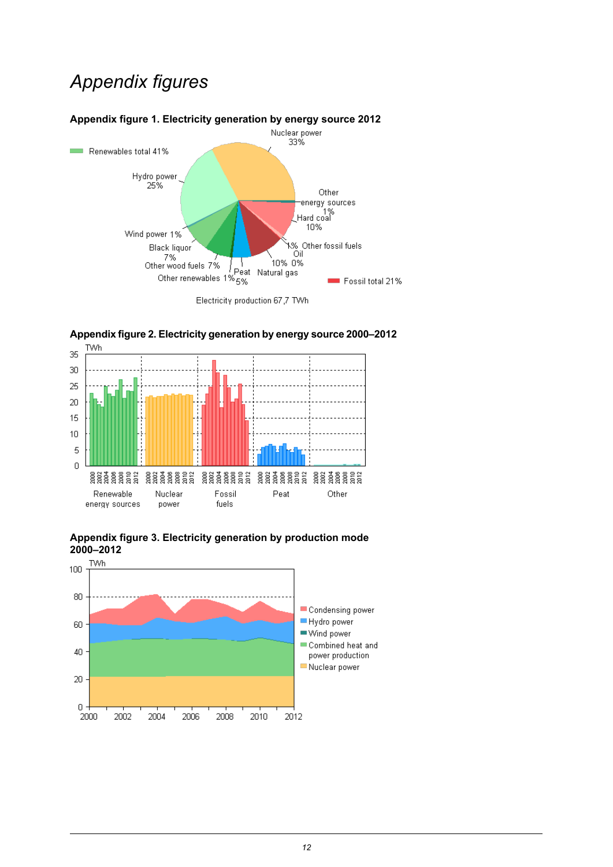## *Appendix figures*

<span id="page-11-0"></span>



<span id="page-11-1"></span>

<span id="page-11-2"></span>

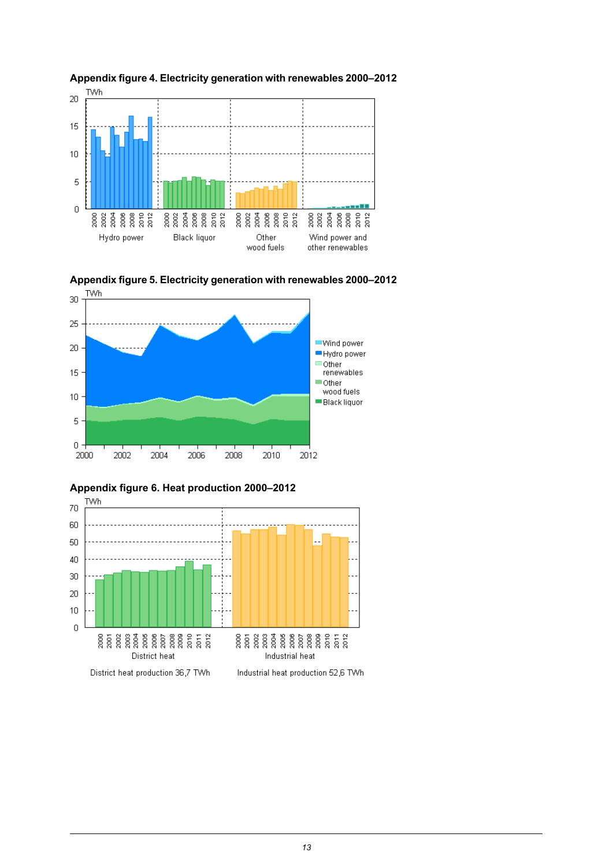

<span id="page-12-0"></span>



<span id="page-12-1"></span>

<span id="page-12-2"></span>

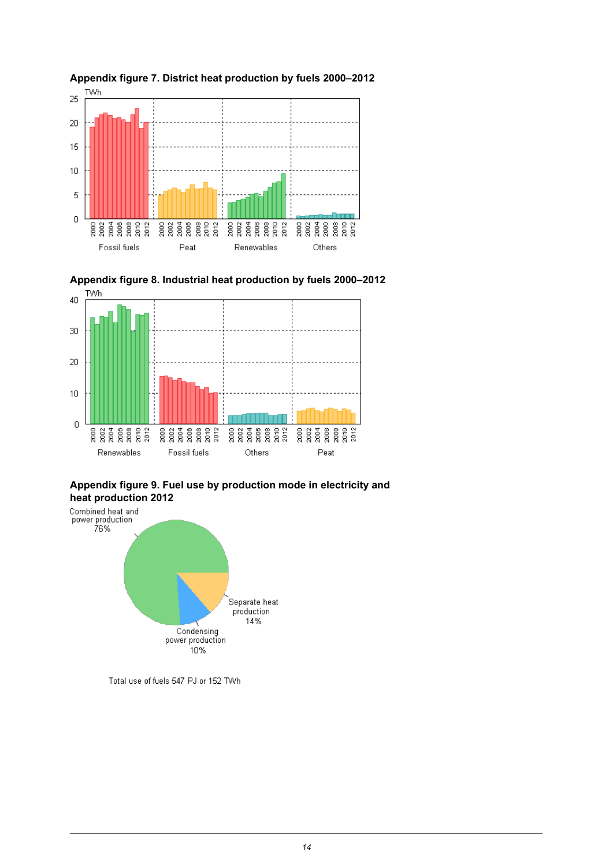

<span id="page-13-1"></span>![](_page_13_Figure_1.jpeg)

#### <span id="page-13-0"></span>**Appendix figure 7. District heat production by fuels 2000–2012**

<span id="page-13-2"></span>**Appendix figure 9. Fuel use by production mode in electricity and heat production 2012**

![](_page_13_Figure_4.jpeg)

Total use of fuels 547 PJ or 152 TWh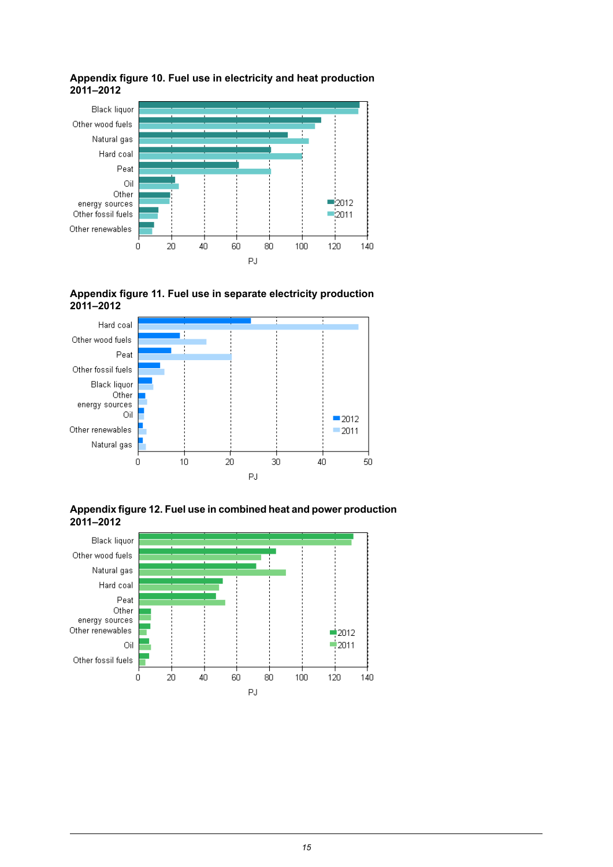![](_page_14_Figure_0.jpeg)

#### <span id="page-14-0"></span>**Appendix figure 10. Fuel use in electricity and heat production 2011–2012**

<span id="page-14-1"></span>![](_page_14_Figure_2.jpeg)

![](_page_14_Figure_3.jpeg)

<span id="page-14-2"></span>![](_page_14_Figure_4.jpeg)

![](_page_14_Figure_5.jpeg)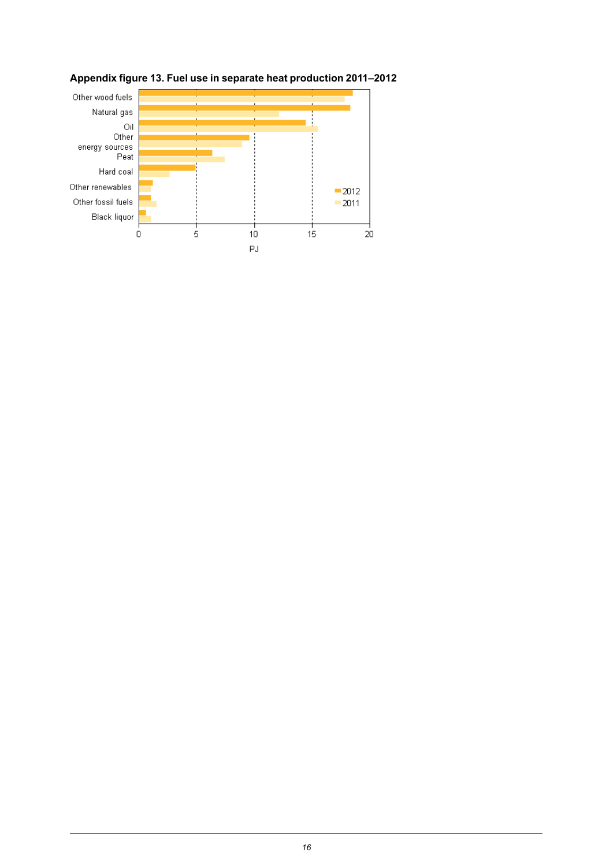![](_page_15_Figure_0.jpeg)

#### <span id="page-15-0"></span>**Appendix figure 13. Fuel use in separate heat production 2011–2012**